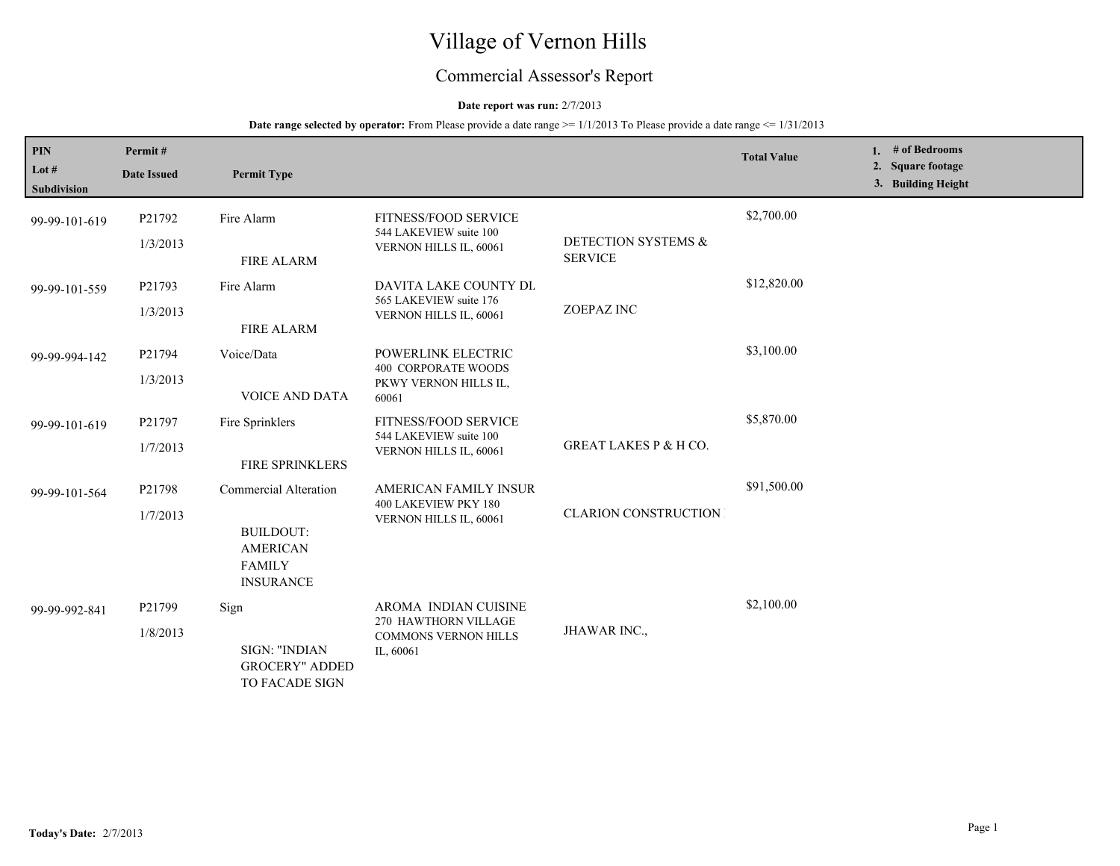# Village of Vernon Hills

## Commercial Assessor's Report

## **Date report was run:** 2/7/2013

## **Date range selected by operator:** From Please provide a date range  $\ge$ = 1/1/2013 To Please provide a date range  $\le$  1/31/2013

| PIN                    | Permit#            |                                                                                                   |                                                                                          |                                  | <b>Total Value</b> | 1. $#$ of Bedrooms                      |
|------------------------|--------------------|---------------------------------------------------------------------------------------------------|------------------------------------------------------------------------------------------|----------------------------------|--------------------|-----------------------------------------|
| Lot $#$<br>Subdivision | <b>Date Issued</b> | <b>Permit Type</b>                                                                                |                                                                                          |                                  |                    | 2. Square footage<br>3. Building Height |
| 99-99-101-619          | P21792<br>1/3/2013 | Fire Alarm                                                                                        | <b>FITNESS/FOOD SERVICE</b><br>544 LAKEVIEW suite 100<br>VERNON HILLS IL, 60061          | DETECTION SYSTEMS &              | \$2,700.00         |                                         |
| 99-99-101-559          | P21793<br>1/3/2013 | <b>FIRE ALARM</b><br>Fire Alarm                                                                   | <b>DAVITA LAKE COUNTY DL</b><br>565 LAKEVIEW suite 176<br>VERNON HILLS IL, 60061         | <b>SERVICE</b><br>ZOEPAZ INC     | \$12,820.00        |                                         |
| 99-99-994-142          | P21794<br>1/3/2013 | <b>FIRE ALARM</b><br>Voice/Data<br><b>VOICE AND DATA</b>                                          | POWERLINK ELECTRIC<br><b>400 CORPORATE WOODS</b><br>PKWY VERNON HILLS IL,<br>60061       |                                  | \$3,100.00         |                                         |
| 99-99-101-619          | P21797<br>1/7/2013 | Fire Sprinklers<br>FIRE SPRINKLERS                                                                | FITNESS/FOOD SERVICE<br>544 LAKEVIEW suite 100<br>VERNON HILLS IL, 60061                 | <b>GREAT LAKES P &amp; H CO.</b> | \$5,870.00         |                                         |
| 99-99-101-564          | P21798<br>1/7/2013 | Commercial Alteration<br><b>BUILDOUT:</b><br><b>AMERICAN</b><br><b>FAMILY</b><br><b>INSURANCE</b> | AMERICAN FAMILY INSUR<br>400 LAKEVIEW PKY 180<br>VERNON HILLS IL, 60061                  | <b>CLARION CONSTRUCTION</b>      | \$91,500.00        |                                         |
| 99-99-992-841          | P21799<br>1/8/2013 | Sign<br>SIGN: "INDIAN<br><b>GROCERY" ADDED</b><br>TO FACADE SIGN                                  | AROMA INDIAN CUISINE<br>270 HAWTHORN VILLAGE<br><b>COMMONS VERNON HILLS</b><br>IL, 60061 | JHAWAR INC.,                     | \$2,100.00         |                                         |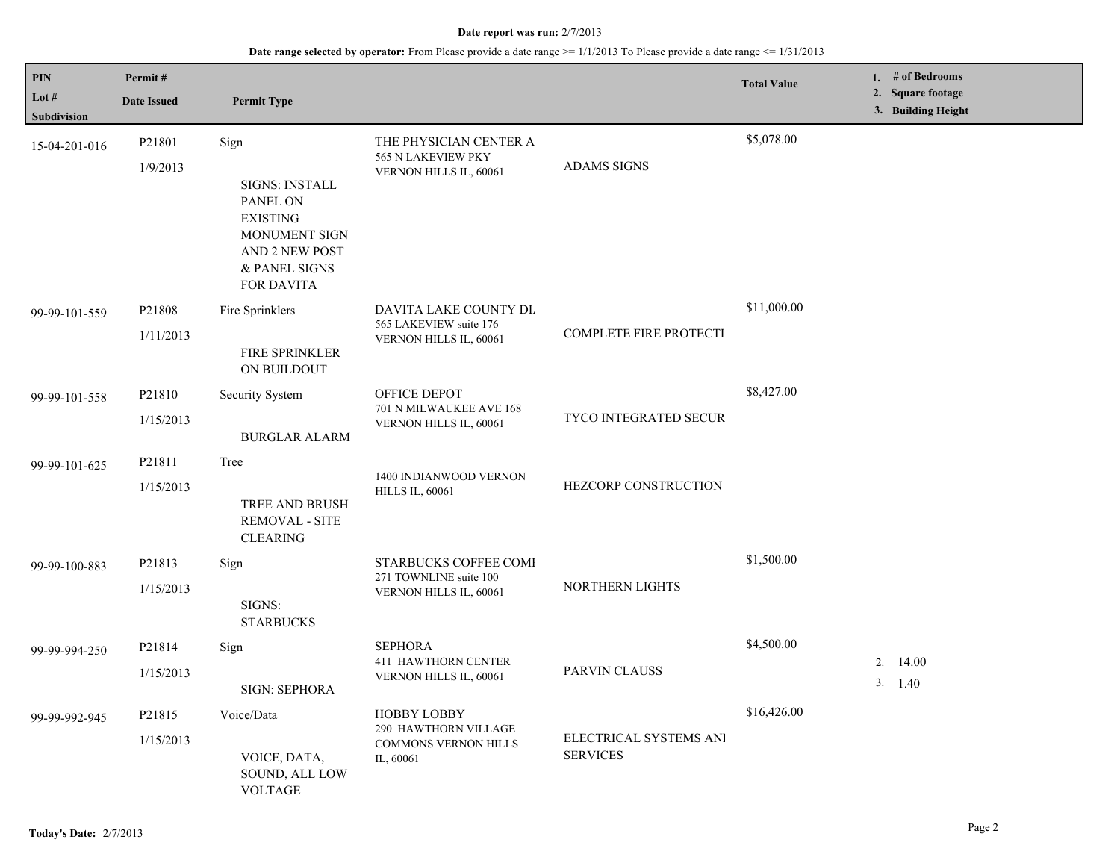## **Date range selected by operator:** From Please provide a date range >= 1/1/2013 To Please provide a date range <= 1/31/2013

| <b>PIN</b><br>Lot $#$ | Permit#             |                                                                                                                                       |                                                                                  |                                           | <b>Total Value</b> | 1. $#$ of Bedrooms<br>2. Square footage |
|-----------------------|---------------------|---------------------------------------------------------------------------------------------------------------------------------------|----------------------------------------------------------------------------------|-------------------------------------------|--------------------|-----------------------------------------|
| <b>Subdivision</b>    | <b>Date Issued</b>  | <b>Permit Type</b>                                                                                                                    |                                                                                  |                                           |                    | 3. Building Height                      |
| 15-04-201-016         | P21801<br>1/9/2013  | Sign<br><b>SIGNS: INSTALL</b><br>PANEL ON<br><b>EXISTING</b><br>MONUMENT SIGN<br>AND 2 NEW POST<br>& PANEL SIGNS<br><b>FOR DAVITA</b> | THE PHYSICIAN CENTER A<br>565 N LAKEVIEW PKY<br>VERNON HILLS IL, 60061           | <b>ADAMS SIGNS</b>                        | \$5,078.00         |                                         |
| 99-99-101-559         | P21808<br>1/11/2013 | Fire Sprinklers<br>FIRE SPRINKLER<br>ON BUILDOUT                                                                                      | DAVITA LAKE COUNTY DL<br>565 LAKEVIEW suite 176<br>VERNON HILLS IL, 60061        | <b>COMPLETE FIRE PROTECTI</b>             | \$11,000.00        |                                         |
| 99-99-101-558         | P21810<br>1/15/2013 | Security System<br><b>BURGLAR ALARM</b>                                                                                               | OFFICE DEPOT<br>701 N MILWAUKEE AVE 168<br>VERNON HILLS IL, 60061                | <b>TYCO INTEGRATED SECUR</b>              | \$8,427.00         |                                         |
| 99-99-101-625         | P21811<br>1/15/2013 | Tree<br>TREE AND BRUSH<br><b>REMOVAL - SITE</b><br><b>CLEARING</b>                                                                    | 1400 INDIANWOOD VERNON<br><b>HILLS IL, 60061</b>                                 | HEZCORP CONSTRUCTION                      |                    |                                         |
| 99-99-100-883         | P21813<br>1/15/2013 | Sign<br>SIGNS:<br><b>STARBUCKS</b>                                                                                                    | <b>STARBUCKS COFFEE COMI</b><br>271 TOWNLINE suite 100<br>VERNON HILLS IL, 60061 | NORTHERN LIGHTS                           | \$1,500.00         |                                         |
| 99-99-994-250         | P21814<br>1/15/2013 | Sign<br>SIGN: SEPHORA                                                                                                                 | <b>SEPHORA</b><br>411 HAWTHORN CENTER<br>VERNON HILLS IL, 60061                  | <b>PARVIN CLAUSS</b>                      | \$4,500.00         | 14.00<br>2.<br>3. 1.40                  |
| 99-99-992-945         | P21815<br>1/15/2013 | Voice/Data<br>VOICE, DATA,<br>SOUND, ALL LOW<br><b>VOLTAGE</b>                                                                        | <b>HOBBY LOBBY</b><br>290 HAWTHORN VILLAGE<br>COMMONS VERNON HILLS<br>IL, 60061  | ELECTRICAL SYSTEMS ANI<br><b>SERVICES</b> | \$16,426.00        |                                         |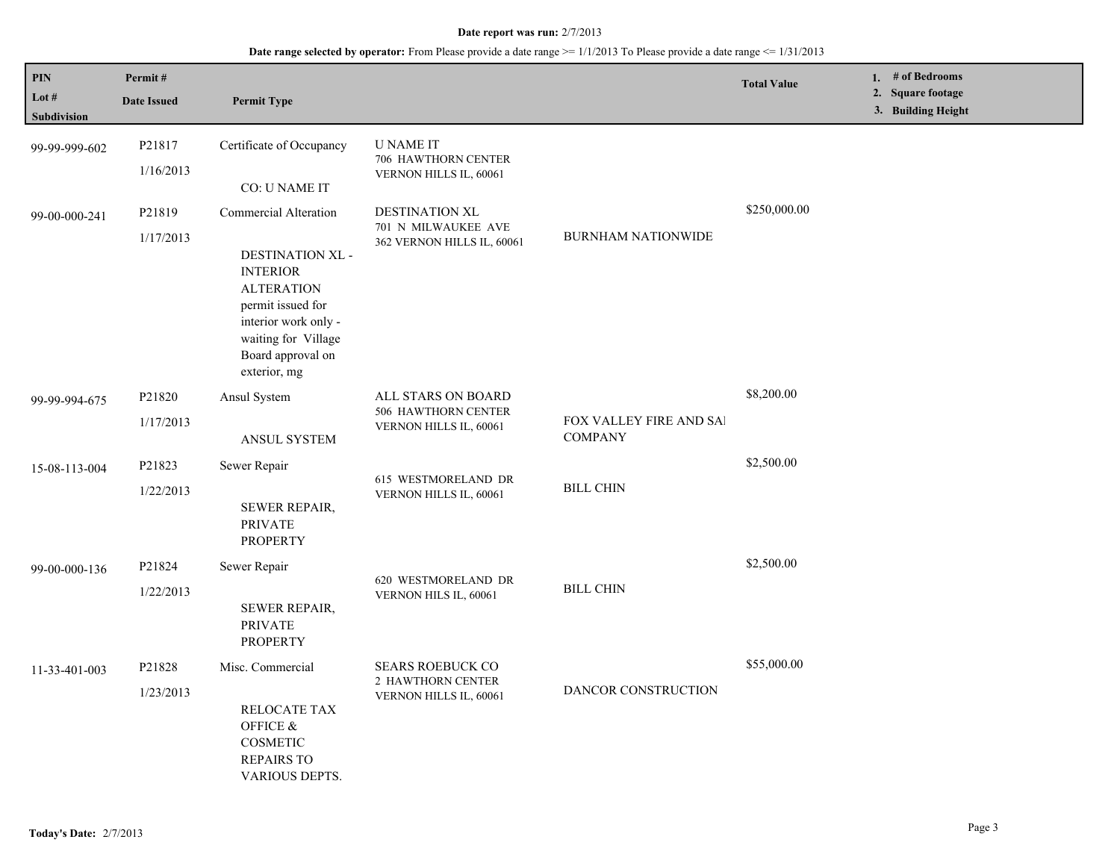## **Date range selected by operator:** From Please provide a date range >= 1/1/2013 To Please provide a date range <= 1/31/2013

| <b>PIN</b><br>Lot $#$<br>Subdivision | Permit#<br><b>Date Issued</b> | <b>Permit Type</b>                                                                                                                                                                         |                                                                        |                                           | <b>Total Value</b> | 1. $#$ of Bedrooms<br>2. Square footage<br>3. Building Height |
|--------------------------------------|-------------------------------|--------------------------------------------------------------------------------------------------------------------------------------------------------------------------------------------|------------------------------------------------------------------------|-------------------------------------------|--------------------|---------------------------------------------------------------|
| 99-99-999-602                        | P21817<br>1/16/2013           | Certificate of Occupancy<br>CO: U NAME IT                                                                                                                                                  | <b>U NAME IT</b><br>706 HAWTHORN CENTER<br>VERNON HILLS IL, 60061      |                                           |                    |                                                               |
| 99-00-000-241                        | P21819<br>1/17/2013           | Commercial Alteration<br>DESTINATION XL -<br><b>INTERIOR</b><br><b>ALTERATION</b><br>permit issued for<br>interior work only -<br>waiting for Village<br>Board approval on<br>exterior, mg | DESTINATION XL<br>701 N MILWAUKEE AVE<br>362 VERNON HILLS IL, 60061    | <b>BURNHAM NATIONWIDE</b>                 | \$250,000.00       |                                                               |
| 99-99-994-675                        | P21820<br>1/17/2013           | Ansul System<br>ANSUL SYSTEM                                                                                                                                                               | ALL STARS ON BOARD<br>506 HAWTHORN CENTER<br>VERNON HILLS IL, 60061    | FOX VALLEY FIRE AND SAI<br><b>COMPANY</b> | \$8,200.00         |                                                               |
| 15-08-113-004                        | P21823<br>1/22/2013           | Sewer Repair<br><b>SEWER REPAIR,</b><br><b>PRIVATE</b><br><b>PROPERTY</b>                                                                                                                  | 615 WESTMORELAND DR<br>VERNON HILLS IL, 60061                          | <b>BILL CHIN</b>                          | \$2,500.00         |                                                               |
| 99-00-000-136                        | P21824<br>1/22/2013           | Sewer Repair<br>SEWER REPAIR,<br><b>PRIVATE</b><br><b>PROPERTY</b>                                                                                                                         | 620 WESTMORELAND DR<br>VERNON HILS IL, 60061                           | <b>BILL CHIN</b>                          | \$2,500.00         |                                                               |
| 11-33-401-003                        | P21828<br>1/23/2013           | Misc. Commercial<br>RELOCATE TAX<br>OFFICE &<br>COSMETIC<br><b>REPAIRS TO</b><br>VARIOUS DEPTS.                                                                                            | <b>SEARS ROEBUCK CO</b><br>2 HAWTHORN CENTER<br>VERNON HILLS IL, 60061 | <b>DANCOR CONSTRUCTION</b>                | \$55,000.00        |                                                               |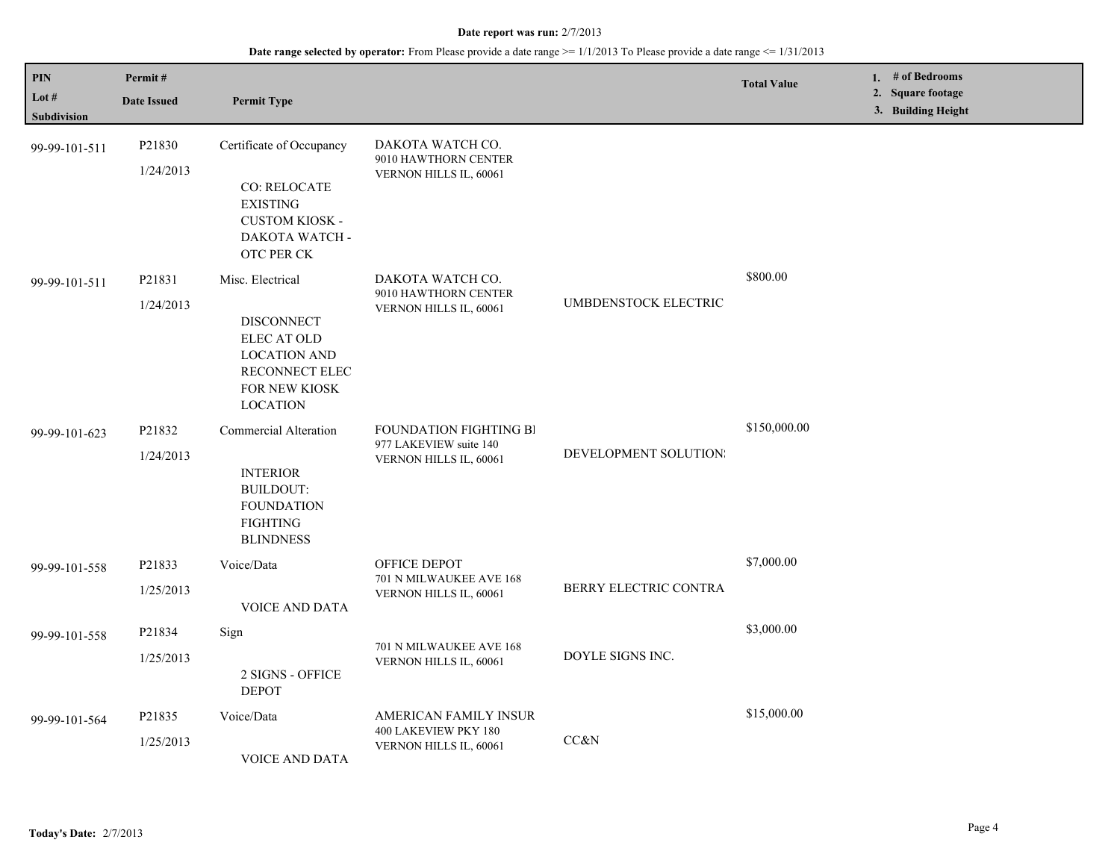## **Date range selected by operator:** From Please provide a date range >= 1/1/2013 To Please provide a date range <= 1/31/2013

| PIN<br>Lot $#$<br><b>Subdivision</b> | Permit#<br><b>Date Issued</b> | <b>Permit Type</b>                                                                                                                |                                                                            |                       | <b>Total Value</b> | 1. # of Bedrooms<br>2. Square footage<br>3. Building Height |
|--------------------------------------|-------------------------------|-----------------------------------------------------------------------------------------------------------------------------------|----------------------------------------------------------------------------|-----------------------|--------------------|-------------------------------------------------------------|
| 99-99-101-511                        | P21830<br>1/24/2013           | Certificate of Occupancy<br>CO: RELOCATE<br><b>EXISTING</b><br><b>CUSTOM KIOSK -</b><br>DAKOTA WATCH -<br>OTC PER CK              | DAKOTA WATCH CO.<br>9010 HAWTHORN CENTER<br>VERNON HILLS IL, 60061         |                       |                    |                                                             |
| 99-99-101-511                        | P21831<br>1/24/2013           | Misc. Electrical<br><b>DISCONNECT</b><br>ELEC AT OLD<br><b>LOCATION AND</b><br>RECONNECT ELEC<br>FOR NEW KIOSK<br><b>LOCATION</b> | DAKOTA WATCH CO.<br>9010 HAWTHORN CENTER<br>VERNON HILLS IL, 60061         | UMBDENSTOCK ELECTRIC  | \$800.00           |                                                             |
| 99-99-101-623                        | P21832<br>1/24/2013           | Commercial Alteration<br><b>INTERIOR</b><br><b>BUILDOUT:</b><br><b>FOUNDATION</b><br><b>FIGHTING</b><br><b>BLINDNESS</b>          | FOUNDATION FIGHTING BI<br>977 LAKEVIEW suite 140<br>VERNON HILLS IL, 60061 | DEVELOPMENT SOLUTION: | \$150,000.00       |                                                             |
| 99-99-101-558                        | P21833<br>1/25/2013           | Voice/Data<br><b>VOICE AND DATA</b>                                                                                               | OFFICE DEPOT<br>701 N MILWAUKEE AVE 168<br>VERNON HILLS IL, 60061          | BERRY ELECTRIC CONTRA | \$7,000.00         |                                                             |
| 99-99-101-558                        | P21834<br>1/25/2013           | Sign<br>2 SIGNS - OFFICE<br><b>DEPOT</b>                                                                                          | 701 N MILWAUKEE AVE 168<br>VERNON HILLS IL, 60061                          | DOYLE SIGNS INC.      | \$3,000.00         |                                                             |
| 99-99-101-564                        | P21835<br>1/25/2013           | Voice/Data<br>VOICE AND DATA                                                                                                      | AMERICAN FAMILY INSUR<br>400 LAKEVIEW PKY 180<br>VERNON HILLS IL, 60061    | CC&N                  | \$15,000.00        |                                                             |

L